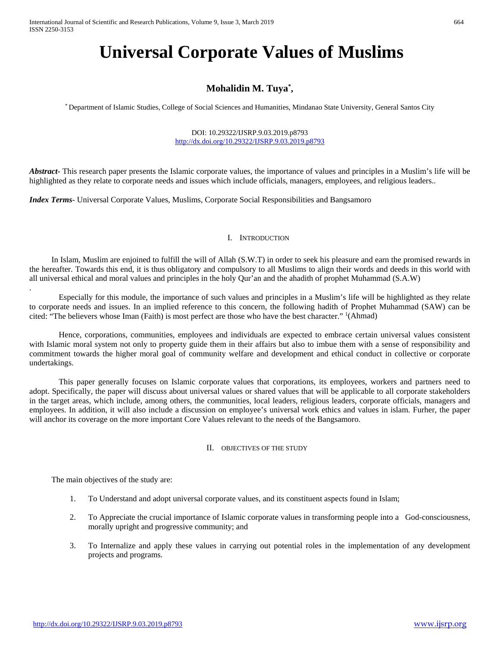# **Universal Corporate Values of Muslims**

# **Mohalidin M. Tuya\* ,**

\* Department of Islamic Studies, College of Social Sciences and Humanities, Mindanao State University, General Santos City

DOI: 10.29322/IJSRP.9.03.2019.p8793 <http://dx.doi.org/10.29322/IJSRP.9.03.2019.p8793>

*Abstract***-** This research paper presents the Islamic corporate values, the importance of values and principles in a Muslim's life will be highlighted as they relate to corporate needs and issues which include officials, managers, employees, and religious leaders..

*Index Terms*- Universal Corporate Values, Muslims, Corporate Social Responsibilities and Bangsamoro

### I. INTRODUCTION

In Islam, Muslim are enjoined to fulfill the will of Allah (S.W.T) in order to seek his pleasure and earn the promised rewards in the hereafter. Towards this end, it is thus obligatory and compulsory to all Muslims to align their words and deeds in this world with all universal ethical and moral values and principles in the holy Qur'an and the ahadith of prophet Muhammad (S.A.W)

Especially for this module, the importance of such values and principles in a Muslim's life will be highlighted as they relate to corporate needs and issues. In an implied reference to this concern, the following hadith of Prophet Muhammad (SAW) can be cited: "The believers whose Iman (Faith) is most perfect are those who have the best character." <sup>1</sup>(Ahmad)

Hence, corporations, communities, employees and individuals are expected to embrace certain universal values consistent with Islamic moral system not only to property guide them in their affairs but also to imbue them with a sense of responsibility and commitment towards the higher moral goal of community welfare and development and ethical conduct in collective or corporate undertakings.

This paper generally focuses on Islamic corporate values that corporations, its employees, workers and partners need to adopt. Specifically, the paper will discuss about universal values or shared values that will be applicable to all corporate stakeholders in the target areas, which include, among others, the communities, local leaders, religious leaders, corporate officials, managers and employees. In addition, it will also include a discussion on employee's universal work ethics and values in islam. Furher, the paper will anchor its coverage on the more important Core Values relevant to the needs of the Bangsamoro.

### II. OBJECTIVES OF THE STUDY

The main objectives of the study are:

.

- 1. To Understand and adopt universal corporate values, and its constituent aspects found in Islam;
- 2. To Appreciate the crucial importance of Islamic corporate values in transforming people into a God-consciousness, morally upright and progressive community; and
- 3. To Internalize and apply these values in carrying out potential roles in the implementation of any development projects and programs.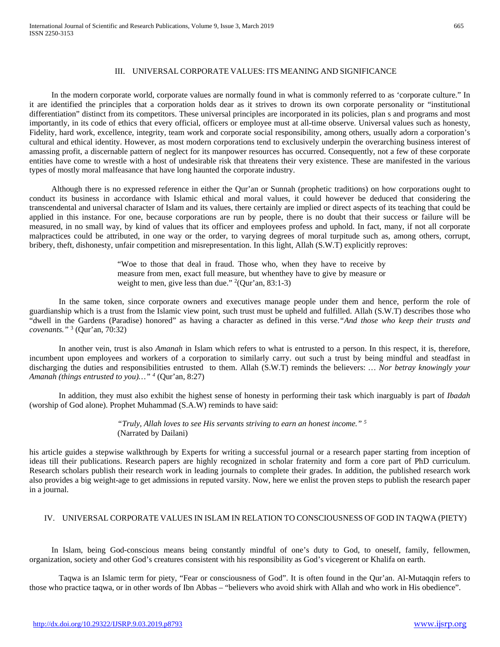#### III. UNIVERSAL CORPORATE VALUES: ITS MEANING AND SIGNIFICANCE

In the modern corporate world, corporate values are normally found in what is commonly referred to as 'corporate culture." In it are identified the principles that a corporation holds dear as it strives to drown its own corporate personality or "institutional differentiation" distinct from its competitors. These universal principles are incorporated in its policies, plan s and programs and most importantly, in its code of ethics that every official, officers or employee must at all-time observe. Universal values such as honesty, Fidelity, hard work, excellence, integrity, team work and corporate social responsibility, among others, usually adorn a corporation's cultural and ethical identity. However, as most modern corporations tend to exclusively underpin the overarching business interest of amassing profit, a discernable pattern of neglect for its manpower resources has occurred. Consequently, not a few of these corporate entities have come to wrestle with a host of undesirable risk that threatens their very existence. These are manifested in the various types of mostly moral malfeasance that have long haunted the corporate industry.

Although there is no expressed reference in either the Qur'an or Sunnah (prophetic traditions) on how corporations ought to conduct its business in accordance with Islamic ethical and moral values, it could however be deduced that considering the transcendental and universal character of Islam and its values, there certainly are implied or direct aspects of its teaching that could be applied in this instance. For one, because corporations are run by people, there is no doubt that their success or failure will be measured, in no small way, by kind of values that its officer and employees profess and uphold. In fact, many, if not all corporate malpractices could be attributed, in one way or the order, to varying degrees of moral turpitude such as, among others, corrupt, bribery, theft, dishonesty, unfair competition and misrepresentation. In this light, Allah (S.W.T) explicitly reproves:

> "Woe to those that deal in fraud. Those who, when they have to receive by measure from men, exact full measure, but whenthey have to give by measure or weight to men, give less than due."  $2$ (Qur'an, 83:1-3)

In the same token, since corporate owners and executives manage people under them and hence, perform the role of guardianship which is a trust from the Islamic view point, such trust must be upheld and fulfilled. Allah (S.W.T) describes those who "dwell in the Gardens (Paradise) honored" as having a character as defined in this verse.*"And those who keep their trusts and covenants."* <sup>3</sup> (Qur'an, 70:32)

In another vein, trust is also *Amanah* in Islam which refers to what is entrusted to a person. In this respect, it is, therefore, incumbent upon employees and workers of a corporation to similarly carry. out such a trust by being mindful and steadfast in discharging the duties and responsibilities entrusted to them. Allah (S.W.T) reminds the believers: *… Nor betray knowingly your Amanah (things entrusted to you)…" 4* (Qur'an, 8:27)

In addition, they must also exhibit the highest sense of honesty in performing their task which inarguably is part of *Ibadah* (worship of God alone). Prophet Muhammad (S.A.W) reminds to have said:

> *"Truly, Allah loves to see His servants striving to earn an honest income." 5* (Narrated by Dailani)

his article guides a stepwise walkthrough by Experts for writing a successful journal or a research paper starting from inception of ideas till their publications. Research papers are highly recognized in scholar fraternity and form a core part of PhD curriculum. Research scholars publish their research work in leading journals to complete their grades. In addition, the published research work also provides a big weight-age to get admissions in reputed varsity. Now, here we enlist the proven steps to publish the research paper in a journal.

## IV. UNIVERSAL CORPORATE VALUES IN ISLAM IN RELATION TO CONSCIOUSNESS OF GOD IN TAQWA (PIETY)

In Islam, being God-conscious means being constantly mindful of one's duty to God, to oneself, family, fellowmen, organization, society and other God's creatures consistent with his responsibility as God's vicegerent or Khalifa on earth.

Taqwa is an Islamic term for piety, "Fear or consciousness of God". It is often found in the Qur'an. Al-Mutaqqin refers to those who practice taqwa, or in other words of Ibn Abbas – "believers who avoid shirk with Allah and who work in His obedience".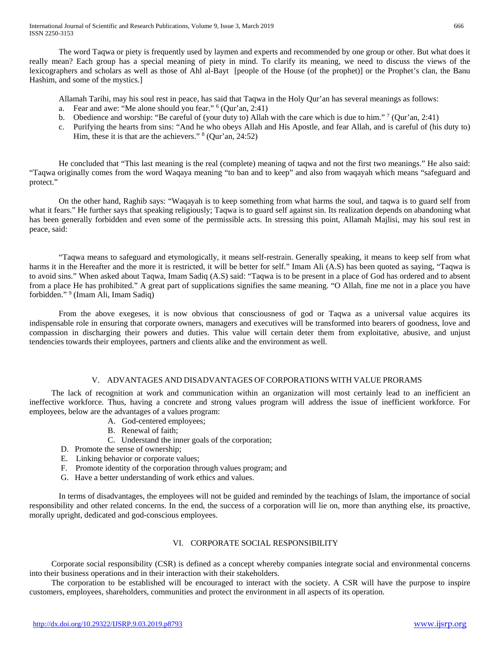The word Taqwa or piety is frequently used by laymen and experts and recommended by one group or other. But what does it really mean? Each group has a special meaning of piety in mind. To clarify its meaning, we need to discuss the views of the lexicographers and scholars as well as those of Ahl al-Bayt [people of the House (of the prophet)] or the Prophet's clan, the Banu Hashim, and some of the mystics.]

Allamah Tarihi, may his soul rest in peace, has said that Taqwa in the Holy Qur'an has several meanings as follows:

- a. Fear and awe: "Me alone should you fear." 6 (Qur'an, 2:41)
- b. Obedience and worship: "Be careful of (your duty to) Allah with the care which is due to him."  $7$  (Qur'an, 2:41)
- c. Purifying the hearts from sins: "And he who obeys Allah and His Apostle, and fear Allah, and is careful of (his duty to) Him, these it is that are the achievers." 8 (Qur'an, 24:52)

He concluded that "This last meaning is the real (complete) meaning of taqwa and not the first two meanings." He also said: "Taqwa originally comes from the word Waqaya meaning "to ban and to keep" and also from waqayah which means "safeguard and protect."

On the other hand, Raghib says: "Waqayah is to keep something from what harms the soul, and taqwa is to guard self from what it fears." He further says that speaking religiously; Taqwa is to guard self against sin. Its realization depends on abandoning what has been generally forbidden and even some of the permissible acts. In stressing this point, Allamah Majlisi, may his soul rest in peace, said:

"Taqwa means to safeguard and etymologically, it means self-restrain. Generally speaking, it means to keep self from what harms it in the Hereafter and the more it is restricted, it will be better for self." Imam Ali (A.S) has been quoted as saying, "Taqwa is to avoid sins." When asked about Taqwa, Imam Sadiq (A.S) said: "Taqwa is to be present in a place of God has ordered and to absent from a place He has prohibited." A great part of supplications signifies the same meaning. "O Allah, fine me not in a place you have forbidden." <sup>9</sup> (Imam Ali, Imam Sadiq)

From the above exegeses, it is now obvious that consciousness of god or Taqwa as a universal value acquires its indispensable role in ensuring that corporate owners, managers and executives will be transformed into bearers of goodness, love and compassion in discharging their powers and duties. This value will certain deter them from exploitative, abusive, and unjust tendencies towards their employees, partners and clients alike and the environment as well.

# V. ADVANTAGES AND DISADVANTAGES OF CORPORATIONS WITH VALUE PRORAMS

The lack of recognition at work and communication within an organization will most certainly lead to an inefficient an ineffective workforce. Thus, having a concrete and strong values program will address the issue of inefficient workforce. For employees, below are the advantages of a values program:

- A. God-centered employees;
- B. Renewal of faith;
- C. Understand the inner goals of the corporation;
- D. Promote the sense of ownership;
- E. Linking behavior or corporate values;
- F. Promote identity of the corporation through values program; and
- G. Have a better understanding of work ethics and values.

In terms of disadvantages, the employees will not be guided and reminded by the teachings of Islam, the importance of social responsibility and other related concerns. In the end, the success of a corporation will lie on, more than anything else, its proactive, morally upright, dedicated and god-conscious employees.

# VI. CORPORATE SOCIAL RESPONSIBILITY

Corporate social responsibility (CSR) is defined as a concept whereby companies integrate social and environmental concerns into their business operations and in their interaction with their stakeholders.

The corporation to be established will be encouraged to interact with the society. A CSR will have the purpose to inspire customers, employees, shareholders, communities and protect the environment in all aspects of its operation.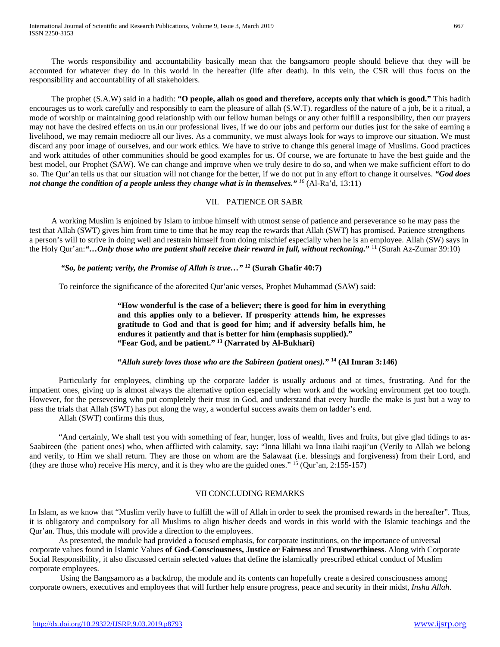The words responsibility and accountability basically mean that the bangsamoro people should believe that they will be accounted for whatever they do in this world in the hereafter (life after death). In this vein, the CSR will thus focus on the responsibility and accountability of all stakeholders.

The prophet (S.A.W) said in a hadith: **"O people, allah os good and therefore, accepts only that which is good."** This hadith encourages us to work carefully and responsibly to earn the pleasure of allah (S.W.T). regardless of the nature of a job, be it a ritual, a mode of worship or maintaining good relationship with our fellow human beings or any other fulfill a responsibility, then our prayers may not have the desired effects on us.in our professional lives, if we do our jobs and perform our duties just for the sake of earning a livelihood, we may remain mediocre all our lives. As a community, we must always look for ways to improve our situation. We must discard any poor image of ourselves, and our work ethics. We have to strive to change this general image of Muslims. Good practices and work attitudes of other communities should be good examples for us. Of course, we are fortunate to have the best guide and the best model, our Prophet (SAW). We can change and improve when we truly desire to do so, and when we make sufficient effort to do so. The Qur'an tells us that our situation will not change for the better, if we do not put in any effort to change it ourselves. *"God does not change the condition of a people unless they change what is in themselves." <sup>10</sup>* (Al-Ra'd, 13:11)

# VII. PATIENCE OR SABR

A working Muslim is enjoined by Islam to imbue himself with utmost sense of patience and perseverance so he may pass the test that Allah (SWT) gives him from time to time that he may reap the rewards that Allah (SWT) has promised. Patience strengthens a person's will to strive in doing well and restrain himself from doing mischief especially when he is an employee. Allah (SW) says in the Holy Qur'an:*"…Only those who are patient shall receive their reward in full, without reckoning.***"** <sup>11</sup> (Surah Az-Zumar 39:10)

# *"So, be patient; verily, the Promise of Allah is true…" 12* **(Surah Ghafir 40:7)**

To reinforce the significance of the aforecited Qur'anic verses, Prophet Muhammad (SAW) said:

**"How wonderful is the case of a believer; there is good for him in everything and this applies only to a believer. If prosperity attends him, he expresses gratitude to God and that is good for him; and if adversity befalls him, he endures it patiently and that is better for him (emphasis supplied)." "Fear God, and be patient." 13 (Narrated by Al-Bukhari)**

# **"***Allah surely loves those who are the Sabireen (patient ones)."* **<sup>14</sup> (Al Imran 3:146)**

Particularly for employees, climbing up the corporate ladder is usually arduous and at times, frustrating. And for the impatient ones, giving up is almost always the alternative option especially when work and the working environment get too tough. However, for the persevering who put completely their trust in God, and understand that every hurdle the make is just but a way to pass the trials that Allah (SWT) has put along the way, a wonderful success awaits them on ladder's end.

Allah (SWT) confirms this thus,

"And certainly, We shall test you with something of fear, hunger, loss of wealth, lives and fruits, but give glad tidings to as-Saabireen (the patient ones) who, when afflicted with calamity, say: "Inna lillahi wa Inna ilaihi raaji'un (Verily to Allah we belong and verily, to Him we shall return. They are those on whom are the Salawaat (i.e. blessings and forgiveness) from their Lord, and (they are those who) receive His mercy, and it is they who are the guided ones." <sup>15</sup> (Qur'an, 2:155-157)

### VII CONCLUDING REMARKS

In Islam, as we know that "Muslim verily have to fulfill the will of Allah in order to seek the promised rewards in the hereafter". Thus, it is obligatory and compulsory for all Muslims to align his/her deeds and words in this world with the Islamic teachings and the Qur'an. Thus, this module will provide a direction to the employees.

As presented, the module had provided a focused emphasis, for corporate institutions, on the importance of universal corporate values found in Islamic Values **of God-Consciousness, Justice or Fairness** and **Trustworthiness**. Along with Corporate Social Responsibility, it also discussed certain selected values that define the islamically prescribed ethical conduct of Muslim corporate employees.

 Using the Bangsamoro as a backdrop, the module and its contents can hopefully create a desired consciousness among corporate owners, executives and employees that will further help ensure progress, peace and security in their midst, *Insha Allah*.